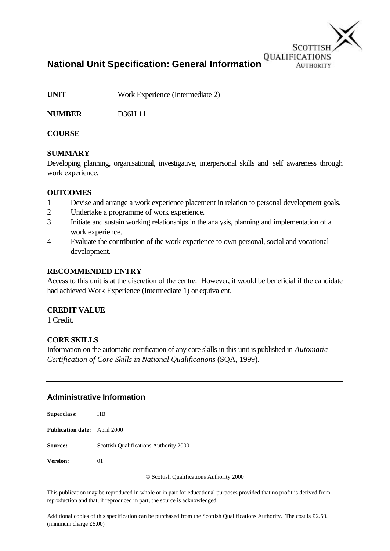

**National Unit Specification: General Information**

**UNIT** Work Experience (Intermediate 2)

**NUMBER** D36H 11

### **COURSE**

### **SUMMARY**

Developing planning, organisational, investigative, interpersonal skills and self awareness through work experience.

#### **OUTCOMES**

- 1 Devise and arrange a work experience placement in relation to personal development goals.
- 2 Undertake a programme of work experience.
- 3 Initiate and sustain working relationships in the analysis, planning and implementation of a work experience.
- 4 Evaluate the contribution of the work experience to own personal, social and vocational development.

#### **RECOMMENDED ENTRY**

Access to this unit is at the discretion of the centre. However, it would be beneficial if the candidate had achieved Work Experience (Intermediate 1) or equivalent.

#### **CREDIT VALUE**

1 Credit.

### **CORE SKILLS**

Information on the automatic certification of any core skills in this unit is published in *Automatic Certification of Core Skills in National Qualifications* (SQA, 1999).

### **Administrative Information**

| <b>Superclass:</b>                  | HВ                                     |
|-------------------------------------|----------------------------------------|
| <b>Publication date:</b> April 2000 |                                        |
| <b>Source:</b>                      | Scottish Qualifications Authority 2000 |
| <b>Version:</b>                     | 01                                     |

© Scottish Qualifications Authority 2000

This publication may be reproduced in whole or in part for educational purposes provided that no profit is derived from reproduction and that, if reproduced in part, the source is acknowledged.

Additional copies of this specification can be purchased from the Scottish Qualifications Authority. The cost is £2.50. (minimum charge £5.00)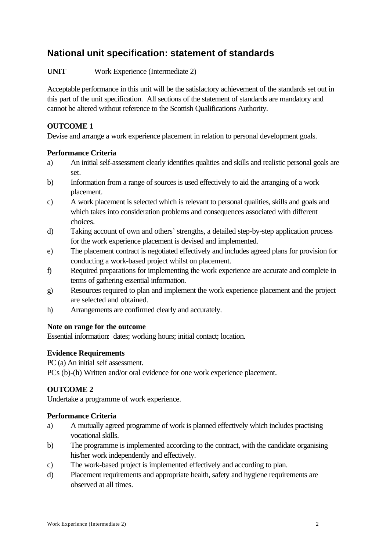# **National unit specification: statement of standards**

**UNIT** Work Experience (Intermediate 2)

Acceptable performance in this unit will be the satisfactory achievement of the standards set out in this part of the unit specification. All sections of the statement of standards are mandatory and cannot be altered without reference to the Scottish Qualifications Authority.

## **OUTCOME 1**

Devise and arrange a work experience placement in relation to personal development goals.

### **Performance Criteria**

- a) An initial self-assessment clearly identifies qualities and skills and realistic personal goals are set.
- b) Information from a range of sources is used effectively to aid the arranging of a work placement.
- c) A work placement is selected which is relevant to personal qualities, skills and goals and which takes into consideration problems and consequences associated with different choices.
- d) Taking account of own and others' strengths, a detailed step-by-step application process for the work experience placement is devised and implemented.
- e) The placement contract is negotiated effectively and includes agreed plans for provision for conducting a work-based project whilst on placement.
- f) Required preparations for implementing the work experience are accurate and complete in terms of gathering essential information.
- g) Resources required to plan and implement the work experience placement and the project are selected and obtained.
- h) Arrangements are confirmed clearly and accurately.

### **Note on range for the outcome**

Essential information: dates; working hours; initial contact; location.

## **Evidence Requirements**

PC (a) An initial self assessment.

PCs (b)-(h) Written and/or oral evidence for one work experience placement.

## **OUTCOME 2**

Undertake a programme of work experience.

### **Performance Criteria**

- a) A mutually agreed programme of work is planned effectively which includes practising vocational skills.
- b) The programme is implemented according to the contract, with the candidate organising his/her work independently and effectively.
- c) The work-based project is implemented effectively and according to plan.
- d) Placement requirements and appropriate health, safety and hygiene requirements are observed at all times.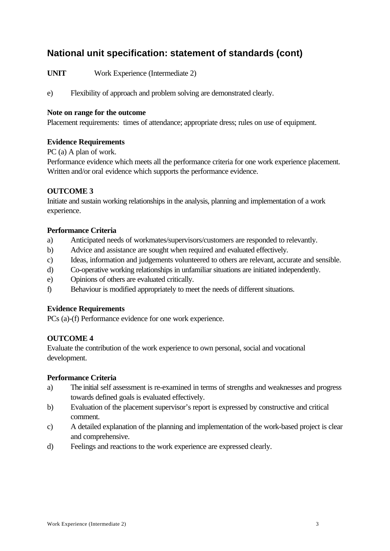# **National unit specification: statement of standards (cont)**

**UNIT** Work Experience (Intermediate 2)

e) Flexibility of approach and problem solving are demonstrated clearly.

#### **Note on range for the outcome**

Placement requirements: times of attendance; appropriate dress; rules on use of equipment.

### **Evidence Requirements**

PC (a) A plan of work.

Performance evidence which meets all the performance criteria for one work experience placement. Written and/or oral evidence which supports the performance evidence.

#### **OUTCOME 3**

Initiate and sustain working relationships in the analysis, planning and implementation of a work experience.

#### **Performance Criteria**

- a) Anticipated needs of workmates/supervisors/customers are responded to relevantly.
- b) Advice and assistance are sought when required and evaluated effectively.
- c) Ideas, information and judgements volunteered to others are relevant, accurate and sensible.
- d) Co-operative working relationships in unfamiliar situations are initiated independently.
- e) Opinions of others are evaluated critically.
- f) Behaviour is modified appropriately to meet the needs of different situations.

#### **Evidence Requirements**

PCs (a)-(f) Performance evidence for one work experience.

### **OUTCOME 4**

Evaluate the contribution of the work experience to own personal, social and vocational development.

#### **Performance Criteria**

- a) The initial self assessment is re-examined in terms of strengths and weaknesses and progress towards defined goals is evaluated effectively.
- b) Evaluation of the placement supervisor's report is expressed by constructive and critical comment.
- c) A detailed explanation of the planning and implementation of the work-based project is clear and comprehensive.
- d) Feelings and reactions to the work experience are expressed clearly.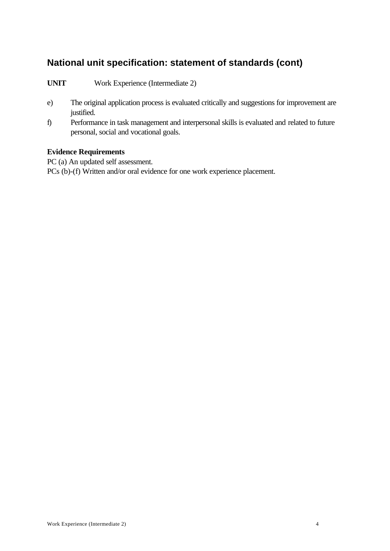# **National unit specification: statement of standards (cont)**

**UNIT** Work Experience (Intermediate 2)

- e) The original application process is evaluated critically and suggestions for improvement are justified.
- f) Performance in task management and interpersonal skills is evaluated and related to future personal, social and vocational goals.

#### **Evidence Requirements**

PC (a) An updated self assessment.

PCs (b)-(f) Written and/or oral evidence for one work experience placement.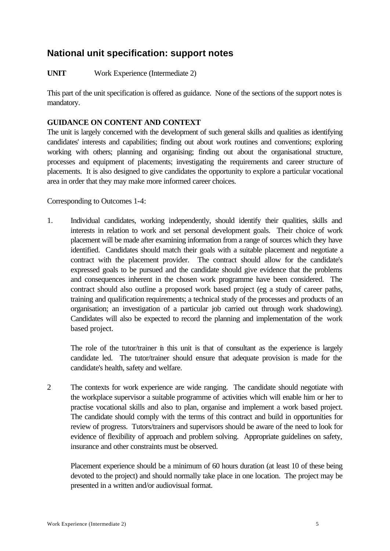**UNIT** Work Experience (Intermediate 2)

This part of the unit specification is offered as guidance. None of the sections of the support notes is mandatory.

### **GUIDANCE ON CONTENT AND CONTEXT**

The unit is largely concerned with the development of such general skills and qualities as identifying candidates' interests and capabilities; finding out about work routines and conventions; exploring working with others; planning and organising; finding out about the organisational structure, processes and equipment of placements; investigating the requirements and career structure of placements. It is also designed to give candidates the opportunity to explore a particular vocational area in order that they may make more informed career choices.

Corresponding to Outcomes 1-4:

1. Individual candidates, working independently, should identify their qualities, skills and interests in relation to work and set personal development goals. Their choice of work placement will be made after examining information from a range of sources which they have identified. Candidates should match their goals with a suitable placement and negotiate a contract with the placement provider. The contract should allow for the candidate's expressed goals to be pursued and the candidate should give evidence that the problems and consequences inherent in the chosen work programme have been considered. The contract should also outline a proposed work based project (eg a study of career paths, training and qualification requirements; a technical study of the processes and products of an organisation; an investigation of a particular job carried out through work shadowing). Candidates will also be expected to record the planning and implementation of the work based project.

The role of the tutor/trainer in this unit is that of consultant as the experience is largely candidate led. The tutor/trainer should ensure that adequate provision is made for the candidate's health, safety and welfare.

2 The contexts for work experience are wide ranging. The candidate should negotiate with the workplace supervisor a suitable programme of activities which will enable him or her to practise vocational skills and also to plan, organise and implement a work based project. The candidate should comply with the terms of this contract and build in opportunities for review of progress. Tutors/trainers and supervisors should be aware of the need to look for evidence of flexibility of approach and problem solving. Appropriate guidelines on safety, insurance and other constraints must be observed.

Placement experience should be a minimum of 60 hours duration (at least 10 of these being devoted to the project) and should normally take place in one location. The project may be presented in a written and/or audiovisual format.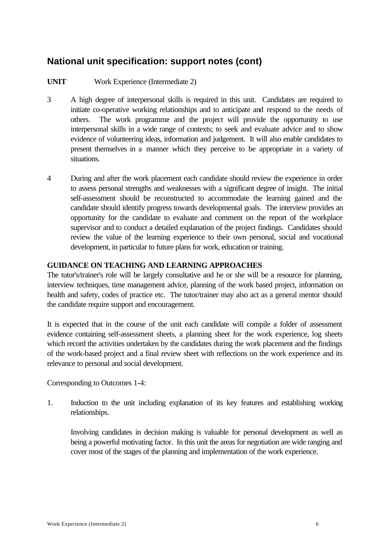### **UNIT** Work Experience (Intermediate 2)

- 3 A high degree of interpersonal skills is required in this unit. Candidates are required to initiate co-operative working relationships and to anticipate and respond to the needs of others. The work programme and the project will provide the opportunity to use interpersonal skills in a wide range of contexts; to seek and evaluate advice and to show evidence of volunteering ideas, information and judgement. It will also enable candidates to present themselves in a manner which they perceive to be appropriate in a variety of situations.
- 4 During and after the work placement each candidate should review the experience in order to assess personal strengths and weaknesses with a significant degree of insight. The initial self-assessment should be reconstructed to accommodate the learning gained and the candidate should identify progress towards developmental goals. The interview provides an opportunity for the candidate to evaluate and comment on the report of the workplace supervisor and to conduct a detailed explanation of the project findings. Candidates should review the value of the learning experience to their own personal, social and vocational development, in particular to future plans for work, education or training.

#### **GUIDANCE ON TEACHING AND LEARNING APPROACHES**

The tutor's/trainer's role will be largely consultative and he or she will be a resource for planning, interview techniques, time management advice, planning of the work based project, information on health and safety, codes of practice etc. The tutor/trainer may also act as a general mentor should the candidate require support and encouragement.

It is expected that in the course of the unit each candidate will compile a folder of assessment evidence containing self-assessment sheets, a planning sheet for the work experience, log sheets which record the activities undertaken by the candidates during the work placement and the findings of the work-based project and a final review sheet with reflections on the work experience and its relevance to personal and social development.

Corresponding to Outcomes 1-4:

1. Induction to the unit including explanation of its key features and establishing working relationships.

Involving candidates in decision making is valuable for personal development as well as being a powerful motivating factor. In this unit the areas for negotiation are wide ranging and cover most of the stages of the planning and implementation of the work experience.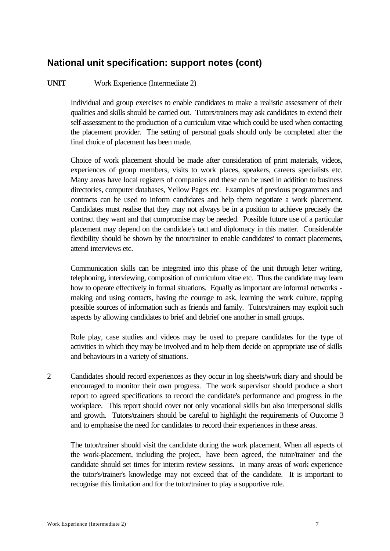### **UNIT** Work Experience (Intermediate 2)

Individual and group exercises to enable candidates to make a realistic assessment of their qualities and skills should be carried out. Tutors/trainers may ask candidates to extend their self-assessment to the production of a curriculum vitae which could be used when contacting the placement provider. The setting of personal goals should only be completed after the final choice of placement has been made.

Choice of work placement should be made after consideration of print materials, videos, experiences of group members, visits to work places, speakers, careers specialists etc. Many areas have local registers of companies and these can be used in addition to business directories, computer databases, Yellow Pages etc. Examples of previous programmes and contracts can be used to inform candidates and help them negotiate a work placement. Candidates must realise that they may not always be in a position to achieve precisely the contract they want and that compromise may be needed. Possible future use of a particular placement may depend on the candidate's tact and diplomacy in this matter. Considerable flexibility should be shown by the tutor/trainer to enable candidates' to contact placements, attend interviews etc.

Communication skills can be integrated into this phase of the unit through letter writing, telephoning, interviewing, composition of curriculum vitae etc. Thus the candidate may learn how to operate effectively in formal situations. Equally as important are informal networks making and using contacts, having the courage to ask, learning the work culture, tapping possible sources of information such as friends and family. Tutors/trainers may exploit such aspects by allowing candidates to brief and debrief one another in small groups.

Role play, case studies and videos may be used to prepare candidates for the type of activities in which they may be involved and to help them decide on appropriate use of skills and behaviours in a variety of situations.

2 Candidates should record experiences as they occur in log sheets/work diary and should be encouraged to monitor their own progress. The work supervisor should produce a short report to agreed specifications to record the candidate's performance and progress in the workplace. This report should cover not only vocational skills but also interpersonal skills and growth. Tutors/trainers should be careful to highlight the requirements of Outcome 3 and to emphasise the need for candidates to record their experiences in these areas.

The tutor/trainer should visit the candidate during the work placement. When all aspects of the work-placement, including the project, have been agreed, the tutor/trainer and the candidate should set times for interim review sessions. In many areas of work experience the tutor's/trainer's knowledge may not exceed that of the candidate. It is important to recognise this limitation and for the tutor/trainer to play a supportive role.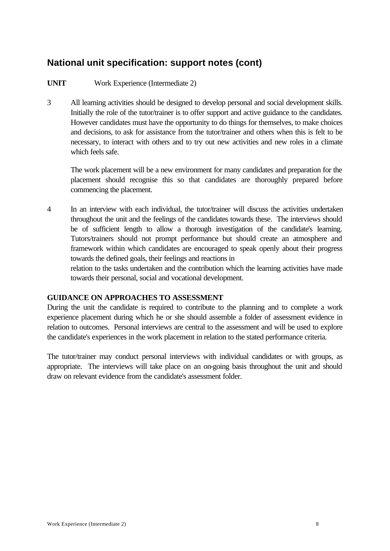### **UNIT** Work Experience (Intermediate 2)

3 All learning activities should be designed to develop personal and social development skills. Initially the role of the tutor/trainer is to offer support and active guidance to the candidates. However candidates must have the opportunity to do things for themselves, to make choices and decisions, to ask for assistance from the tutor/trainer and others when this is felt to be necessary, to interact with others and to try out new activities and new roles in a climate which feels safe.

The work placement will be a new environment for many candidates and preparation for the placement should recognise this so that candidates are thoroughly prepared before commencing the placement.

4 In an interview with each individual, the tutor/trainer will discuss the activities undertaken throughout the unit and the feelings of the candidates towards these. The interviews should be of sufficient length to allow a thorough investigation of the candidate's learning. Tutors/trainers should not prompt performance but should create an atmosphere and framework within which candidates are encouraged to speak openly about their progress towards the defined goals, their feelings and reactions in

relation to the tasks undertaken and the contribution which the learning activities have made towards their personal, social and vocational development.

### **GUIDANCE ON APPROACHES TO ASSESSMENT**

During the unit the candidate is required to contribute to the planning and to complete a work experience placement during which he or she should assemble a folder of assessment evidence in relation to outcomes. Personal interviews are central to the assessment and will be used to explore the candidate's experiences in the work placement in relation to the stated performance criteria.

The tutor/trainer may conduct personal interviews with individual candidates or with groups, as appropriate. The interviews will take place on an on-going basis throughout the unit and should draw on relevant evidence from the candidate's assessment folder.